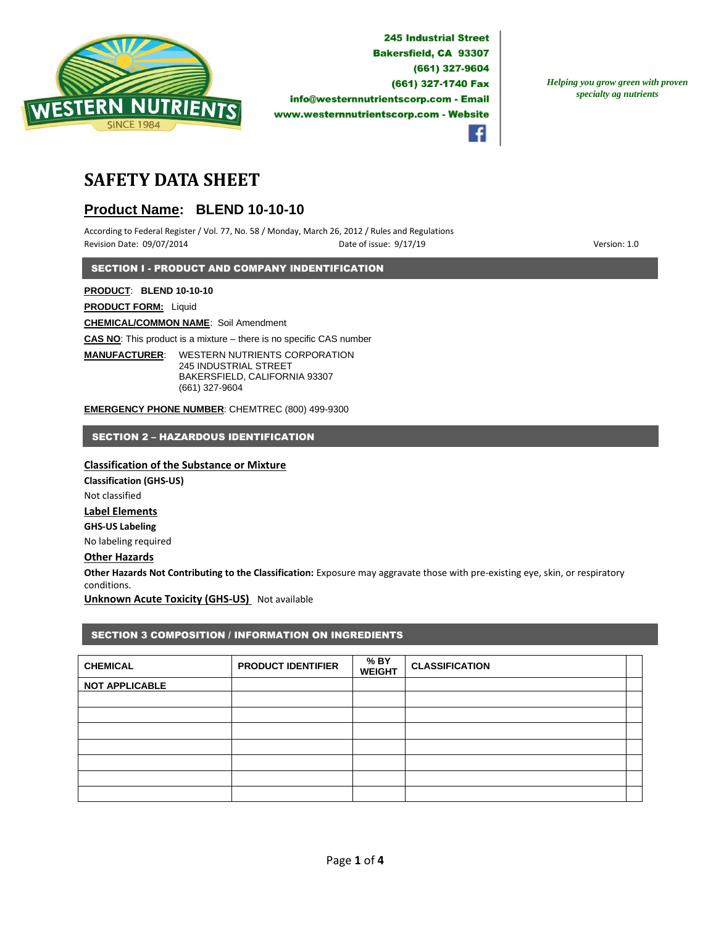

f

*Helping you grow green with proven specialty ag nutrients*

# **SAFETY DATA SHEET**

# **Product Name: BLEND 10-10-10**

According to Federal Register / Vol. 77, No. 58 / Monday, March 26, 2012 / Rules and Regulations Revision Date: 09/07/2014 **Date of issue: 9/17/19** Particle of issue: 9/17/19 **Particle of issue: 9/17/19** Version: 1.0

SECTION I - PRODUCT AND COMPANY INDENTIFICATION

**PRODUCT**: **BLEND 10-10-10**

**PRODUCT FORM:** Liquid

**CHEMICAL/COMMON NAME**: Soil Amendment

**CAS NO**: This product is a mixture – there is no specific CAS number

**MANUFACTURER**: WESTERN NUTRIENTS CORPORATION 245 INDUSTRIAL STREET BAKERSFIELD, CALIFORNIA 93307 (661) 327-9604

**EMERGENCY PHONE NUMBER**: CHEMTREC (800) 499-9300

SECTION 2 – HAZARDOUS IDENTIFICATION

# **Classification of the Substance or Mixture**

**Classification (GHS-US)** Not classified **Label Elements GHS-US Labeling** No labeling required

# **Other Hazards**

**Other Hazards Not Contributing to the Classification:** Exposure may aggravate those with pre-existing eye, skin, or respiratory conditions.

**Unknown Acute Toxicity (GHS-US)** Not available

# SECTION 3 COMPOSITION / INFORMATION ON INGREDIENTS

| <b>CHEMICAL</b>       | <b>PRODUCT IDENTIFIER</b> | % BY<br><b>WEIGHT</b> | <b>CLASSIFICATION</b> |  |
|-----------------------|---------------------------|-----------------------|-----------------------|--|
| <b>NOT APPLICABLE</b> |                           |                       |                       |  |
|                       |                           |                       |                       |  |
|                       |                           |                       |                       |  |
|                       |                           |                       |                       |  |
|                       |                           |                       |                       |  |
|                       |                           |                       |                       |  |
|                       |                           |                       |                       |  |
|                       |                           |                       |                       |  |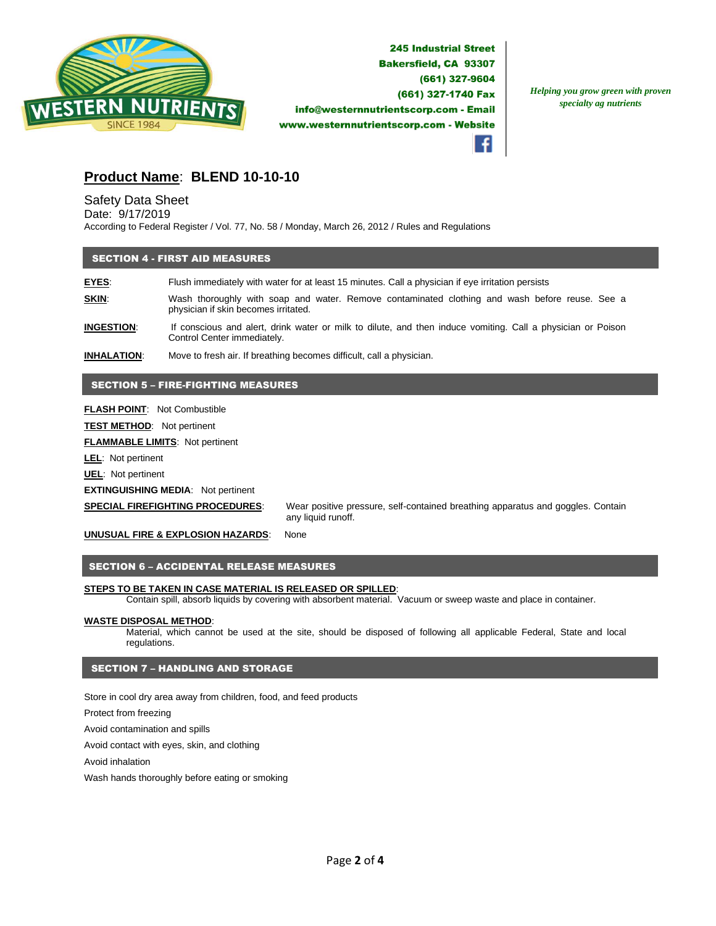

*Helping you grow green with proven specialty ag nutrients*

# **Product Name**: **BLEND 10-10-10**

# Safety Data Sheet

Date: 9/17/2019

According to Federal Register / Vol. 77, No. 58 / Monday, March 26, 2012 / Rules and Regulations

### SECTION 4 - FIRST AID MEASURES

**EYES**: Flush immediately with water for at least 15 minutes. Call a physician if eye irritation persists **SKIN:** Wash thoroughly with soap and water. Remove contaminated clothing and wash before reuse. See a physician if skin becomes irritated.

**INGESTION**: If conscious and alert, drink water or milk to dilute, and then induce vomiting. Call a physician or Poison Control Center immediately.

**INHALATION**: Move to fresh air. If breathing becomes difficult, call a physician.

## SECTION 5 – FIRE-FIGHTING MEASURES

**FLASH POINT**: Not Combustible

**TEST METHOD**: Not pertinent

**FLAMMABLE LIMITS**: Not pertinent

**LEL**: Not pertinent

**UEL**: Not pertinent

**EXTINGUISHING MEDIA**: Not pertinent

**SPECIAL FIREFIGHTING PROCEDURES**: Wear positive pressure, self-contained breathing apparatus and goggles. Contain any liquid runoff.

**UNUSUAL FIRE & EXPLOSION HAZARDS**: None

#### SECTION 6 – ACCIDENTAL RELEASE MEASURES

#### **STEPS TO BE TAKEN IN CASE MATERIAL IS RELEASED OR SPILLED**:

Contain spill, absorb liquids by covering with absorbent material. Vacuum or sweep waste and place in container.

#### **WASTE DISPOSAL METHOD**:

Material, which cannot be used at the site, should be disposed of following all applicable Federal, State and local regulations.

## SECTION 7 – HANDLING AND STORAGE

Store in cool dry area away from children, food, and feed products

Protect from freezing

Avoid contamination and spills

Avoid contact with eyes, skin, and clothing

Avoid inhalation

Wash hands thoroughly before eating or smoking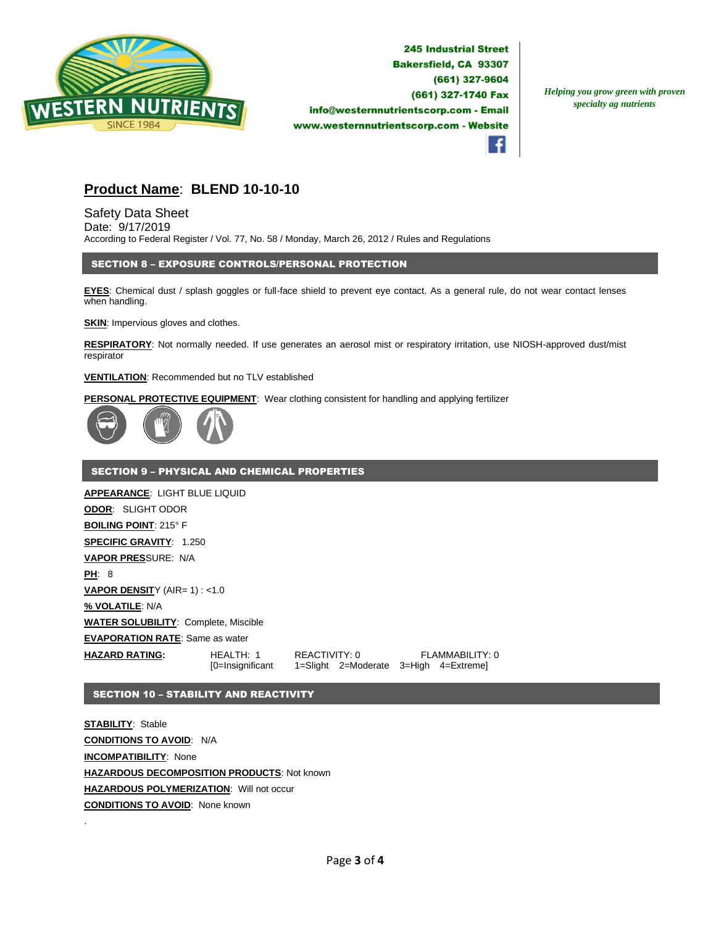

*Helping you grow green with proven specialty ag nutrients*



# **Product Name**: **BLEND 10-10-10**

Safety Data Sheet Date: 9/17/2019 According to Federal Register / Vol. 77, No. 58 / Monday, March 26, 2012 / Rules and Regulations

### SECTION 8 – EXPOSURE CONTROLS/PERSONAL PROTECTION

**EYES**: Chemical dust / splash goggles or full-face shield to prevent eye contact. As a general rule, do not wear contact lenses when handling.

**SKIN:** Impervious gloves and clothes.

**RESPIRATORY**: Not normally needed. If use generates an aerosol mist or respiratory irritation, use NIOSH-approved dust/mist respirator

#### **VENTILATION**: Recommended but no TLV established

**PERSONAL PROTECTIVE EQUIPMENT**: Wear clothing consistent for handling and applying fertilizer



#### SECTION 9 – PHYSICAL AND CHEMICAL PROPERTIES

**APPEARANCE**: LIGHT BLUE LIQUID **ODOR**: SLIGHT ODOR **BOILING POINT**: 215° F **SPECIFIC GRAVITY**: 1.250 **VAPOR PRES**SURE: N/A **PH**: 8 **VAPOR DENSITY (AIR= 1) : <1.0 % VOLATILE**: N/A **WATER SOLUBILITY**: Complete, Miscible **EVAPORATION RATE**: Same as water **HAZARD RATING:** HEALTH: 1 REACTIVITY: 0 FLAMMABILITY: 0 [0=Insignificant 1=Slight 2=Moderate 3=High 4=Extreme]

## SECTION 10 – STABILITY AND REACTIVITY

**STABILITY**: Stable **CONDITIONS TO AVOID**: N/A **INCOMPATIBILITY**: None **HAZARDOUS DECOMPOSITION PRODUCTS**: Not known **HAZARDOUS POLYMERIZATION**: Will not occur **CONDITIONS TO AVOID**: None known

.